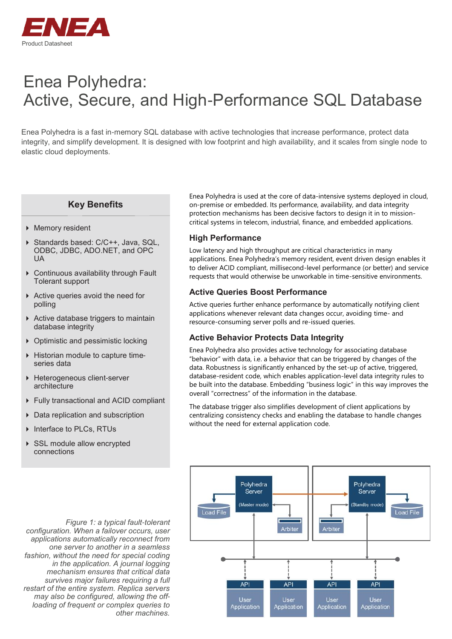

# Enea Polyhedra: Active, Secure, and High-Performance SQL Database

Enea Polyhedra is a fast in-memory SQL database with active technologies that increase performance, protect data integrity, and simplify development. It is designed with low footprint and high availability, and it scales from single node to elastic cloud deployments.

# **Key Benefits**

- Memory resident
- ▶ Standards based: C/C++, Java, SQL, ODBC, JDBC, ADO.NET, and OPC UA
- Continuous availability through Fault Tolerant support
- Active queries avoid the need for polling
- $\triangleright$  Active database triggers to maintain database integrity
- ▶ Optimistic and pessimistic locking
- ▶ Historian module to capture timeseries data
- ▶ Heterogeneous client-server architecture
- Fully transactional and ACID compliant
- ▶ Data replication and subscription
- ▶ Interface to PLCs, RTUs
- ▶ SSL module allow encrypted connections

*Figure 1: a typical fault-tolerant configuration. When a failover occurs, user applications automatically reconnect from one server to another in a seamless fashion, without the need for special coding in the application. A journal logging mechanism ensures that critical data survives major failures requiring a full restart of the entire system. Replica servers may also be configured, allowing the offloading of frequent or complex queries to other machines.*

Enea Polyhedra is used at the core of data-intensive systems deployed in cloud, on-premise or embedded. Its performance, availability, and data integrity protection mechanisms has been decisive factors to design it in to missioncritical systems in telecom, industrial, finance, and embedded applications.

#### **High Performance**

Low latency and high throughput are critical characteristics in many applications. Enea Polyhedra's memory resident, event driven design enables it to deliver ACID compliant, millisecond-level performance (or better) and service requests that would otherwise be unworkable in time-sensitive environments.

#### **Active Queries Boost Performance**

Active queries further enhance performance by automatically notifying client applications whenever relevant data changes occur, avoiding time- and resource-consuming server polls and re-issued queries.

### **Active Behavior Protects Data Integrity**

Enea Polyhedra also provides active technology for associating database "behavior" with data, i.e. a behavior that can be triggered by changes of the data. Robustness is significantly enhanced by the set-up of active, triggered, database-resident code, which enables application-level data integrity rules to be built into the database. Embedding "business logic" in this way improves the overall "correctness" of the information in the database.

The database trigger also simplifies development of client applications by centralizing consistency checks and enabling the database to handle changes without the need for external application code.